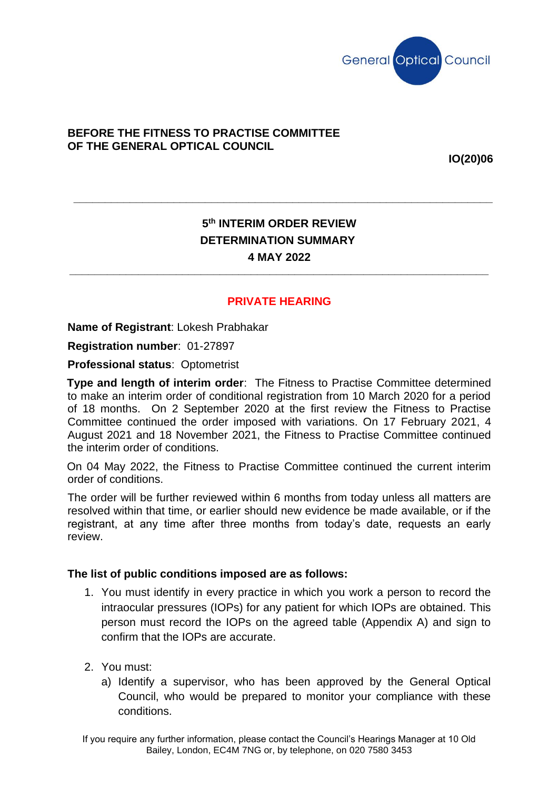

## **BEFORE THE FITNESS TO PRACTISE COMMITTEE OF THE GENERAL OPTICAL COUNCIL**

**IO(20)06**

# **5 th INTERIM ORDER REVIEW DETERMINATION SUMMARY 4 MAY 2022**

**\_\_\_\_\_\_\_\_\_\_\_\_\_\_\_\_\_\_\_\_\_\_\_\_\_\_\_\_\_\_\_\_\_\_\_\_\_\_\_\_\_\_\_\_\_\_\_\_\_\_\_\_\_\_\_\_\_\_\_\_\_\_\_\_\_\_\_**

**\_\_\_\_\_\_\_\_\_\_\_\_\_\_\_\_\_\_\_\_\_\_\_\_\_\_\_\_\_\_\_\_\_\_\_\_\_\_\_\_\_\_\_\_\_\_\_\_\_\_\_\_\_\_\_\_\_\_\_\_\_\_\_\_\_\_\_**

# **PRIVATE HEARING**

**Name of Registrant**: Lokesh Prabhakar

**Registration number**: 01-27897

**Professional status**: Optometrist

**Type and length of interim order**: The Fitness to Practise Committee determined to make an interim order of conditional registration from 10 March 2020 for a period of 18 months. On 2 September 2020 at the first review the Fitness to Practise Committee continued the order imposed with variations. On 17 February 2021, 4 August 2021 and 18 November 2021, the Fitness to Practise Committee continued the interim order of conditions.

On 04 May 2022, the Fitness to Practise Committee continued the current interim order of conditions.

The order will be further reviewed within 6 months from today unless all matters are resolved within that time, or earlier should new evidence be made available, or if the registrant, at any time after three months from today's date, requests an early review.

#### **The list of public conditions imposed are as follows:**

- 1. You must identify in every practice in which you work a person to record the intraocular pressures (IOPs) for any patient for which IOPs are obtained. This person must record the IOPs on the agreed table (Appendix A) and sign to confirm that the IOPs are accurate.
- 2. You must:
	- a) Identify a supervisor, who has been approved by the General Optical Council, who would be prepared to monitor your compliance with these conditions.

If you require any further information, please contact the Council's Hearings Manager at 10 Old Bailey, London, EC4M 7NG or, by telephone, on 020 7580 3453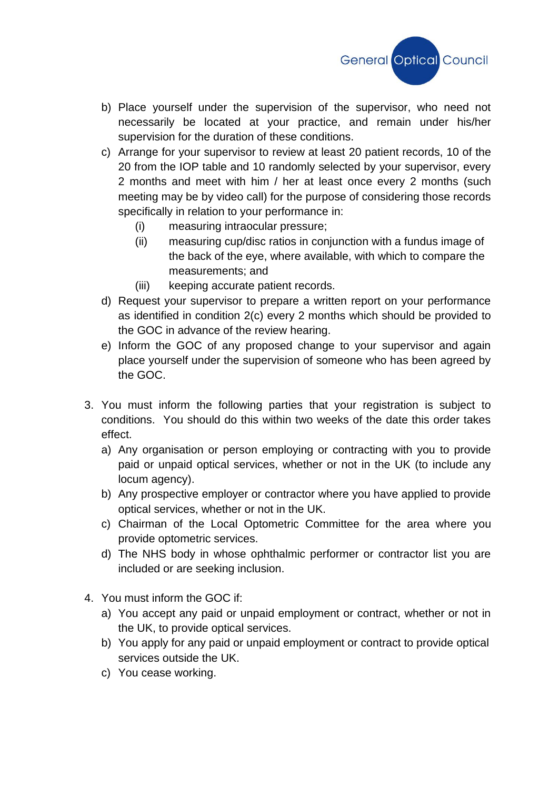

- b) Place yourself under the supervision of the supervisor, who need not necessarily be located at your practice, and remain under his/her supervision for the duration of these conditions.
- c) Arrange for your supervisor to review at least 20 patient records, 10 of the 20 from the IOP table and 10 randomly selected by your supervisor, every 2 months and meet with him / her at least once every 2 months (such meeting may be by video call) for the purpose of considering those records specifically in relation to your performance in:
	- (i) measuring intraocular pressure;
	- (ii) measuring cup/disc ratios in conjunction with a fundus image of the back of the eye, where available, with which to compare the measurements; and
	- (iii) keeping accurate patient records.
- d) Request your supervisor to prepare a written report on your performance as identified in condition 2(c) every 2 months which should be provided to the GOC in advance of the review hearing.
- e) Inform the GOC of any proposed change to your supervisor and again place yourself under the supervision of someone who has been agreed by the GOC.
- 3. You must inform the following parties that your registration is subject to conditions. You should do this within two weeks of the date this order takes effect.
	- a) Any organisation or person employing or contracting with you to provide paid or unpaid optical services, whether or not in the UK (to include any locum agency).
	- b) Any prospective employer or contractor where you have applied to provide optical services, whether or not in the UK.
	- c) Chairman of the Local Optometric Committee for the area where you provide optometric services.
	- d) The NHS body in whose ophthalmic performer or contractor list you are included or are seeking inclusion.
- 4. You must inform the GOC if:
	- a) You accept any paid or unpaid employment or contract, whether or not in the UK, to provide optical services.
	- b) You apply for any paid or unpaid employment or contract to provide optical services outside the UK.
	- c) You cease working.